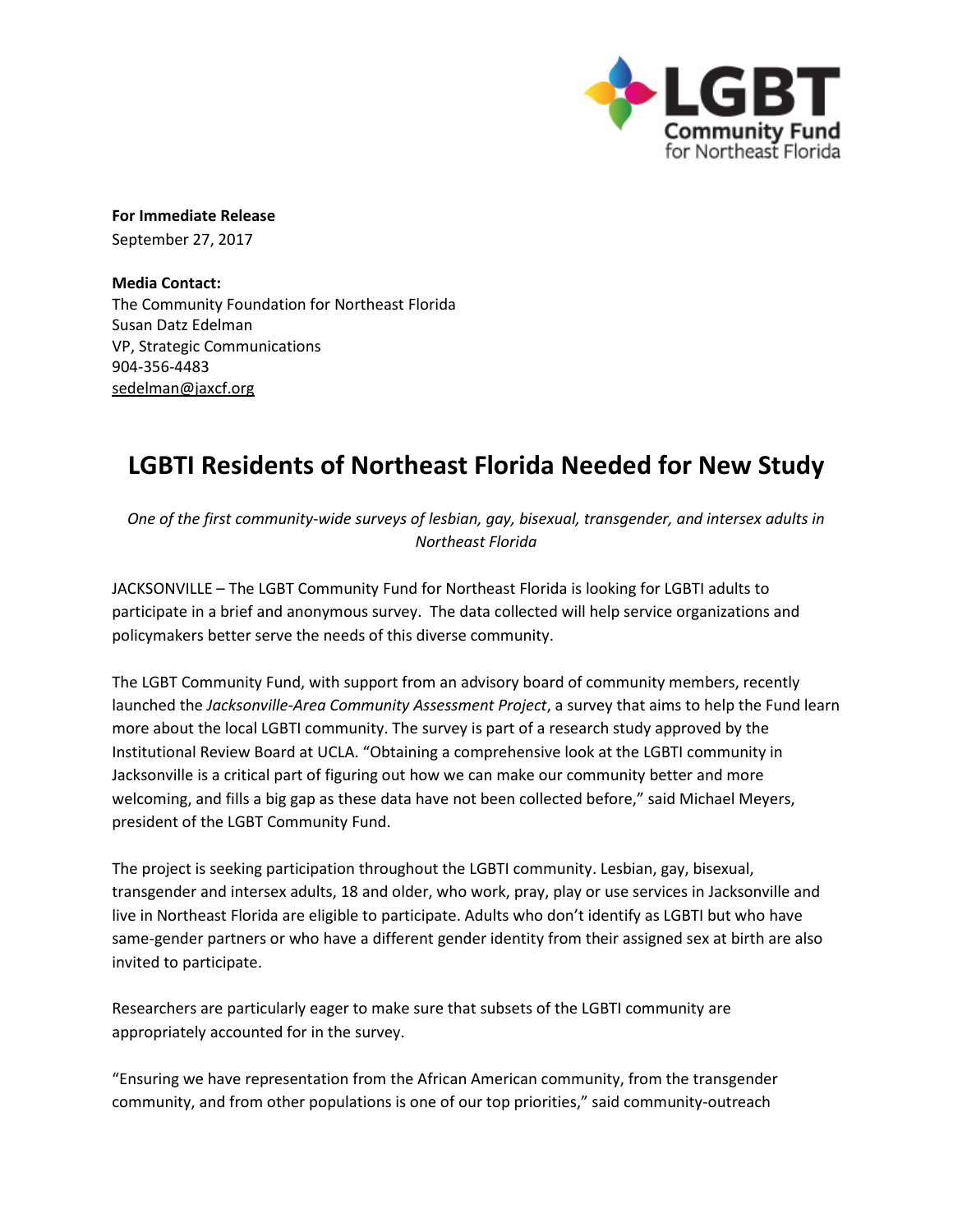

**For Immediate Release** September 27, 2017

**Media Contact:**  The Community Foundation for Northeast Florida Susan Datz Edelman VP, Strategic Communications 904-356-4483 [sedelman@jaxcf.org](mailto:sedelman@jaxcf.org)

## **LGBTI Residents of Northeast Florida Needed for New Study**

*One of the first community-wide surveys of lesbian, gay, bisexual, transgender, and intersex adults in Northeast Florida*

JACKSONVILLE – The LGBT Community Fund for Northeast Florida is looking for LGBTI adults to participate in a brief and anonymous survey. The data collected will help service organizations and policymakers better serve the needs of this diverse community.

The LGBT Community Fund, with support from an advisory board of community members, recently launched the *Jacksonville-Area Community Assessment Project*, a survey that aims to help the Fund learn more about the local LGBTI community. The survey is part of a research study approved by the Institutional Review Board at UCLA. "Obtaining a comprehensive look at the LGBTI community in Jacksonville is a critical part of figuring out how we can make our community better and more welcoming, and fills a big gap as these data have not been collected before," said Michael Meyers, president of the LGBT Community Fund.

The project is seeking participation throughout the LGBTI community. Lesbian, gay, bisexual, transgender and intersex adults, 18 and older, who work, pray, play or use services in Jacksonville and live in Northeast Florida are eligible to participate. Adults who don't identify as LGBTI but who have same-gender partners or who have a different gender identity from their assigned sex at birth are also invited to participate.

Researchers are particularly eager to make sure that subsets of the LGBTI community are appropriately accounted for in the survey.

"Ensuring we have representation from the African American community, from the transgender community, and from other populations is one of our top priorities," said community-outreach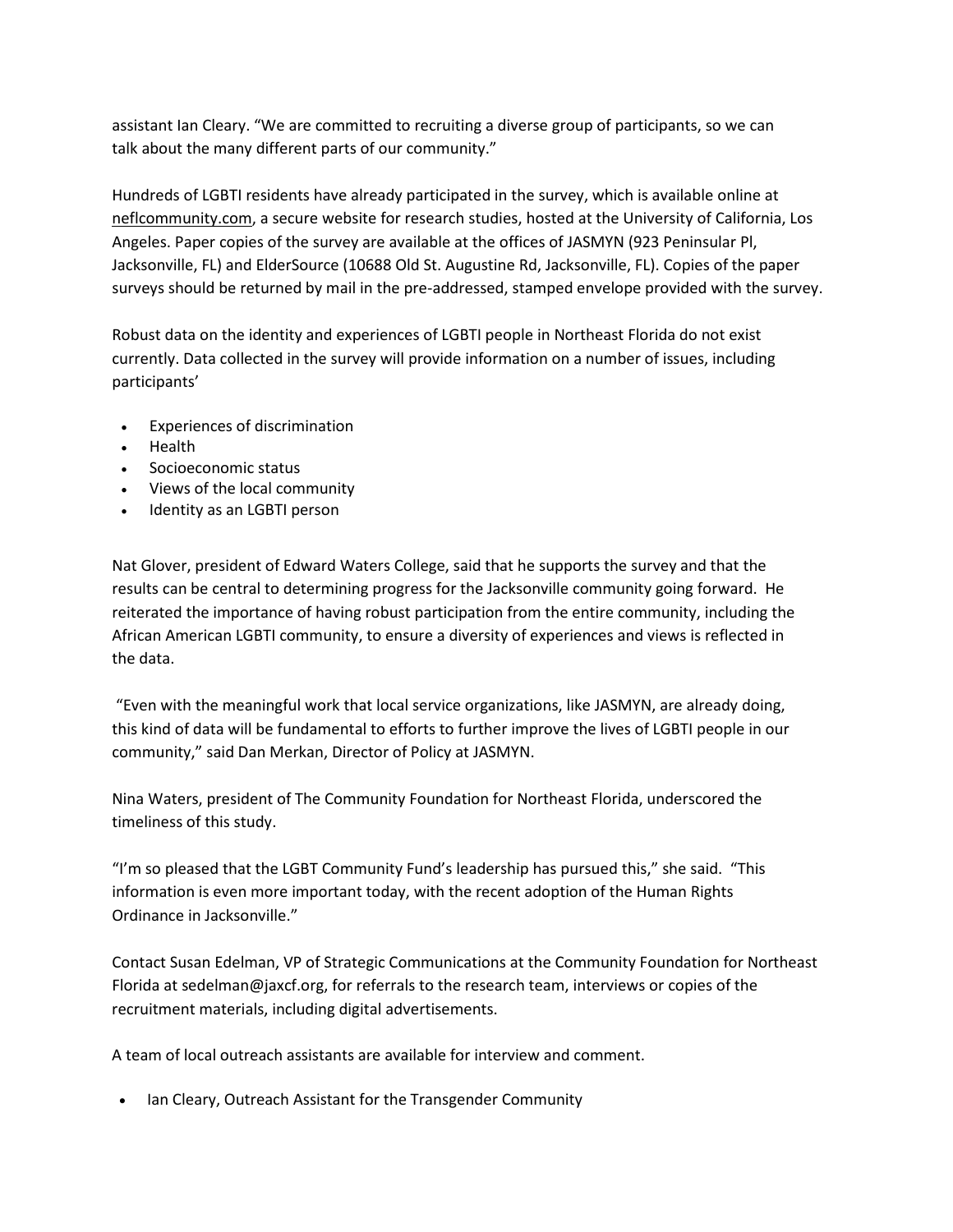assistant Ian Cleary. "We are committed to recruiting a diverse group of participants, so we can talk about the many different parts of our community."

Hundreds of LGBTI residents have already participated in the survey, which is available online at [neflcommunity.com,](https://acsurvey.qualtrics.com/jfe/form/SV_81RoVcY4GMTrxZP) a secure website for research studies, hosted at the University of California, Los Angeles. Paper copies of the survey are available at the offices of JASMYN (923 Peninsular Pl, Jacksonville, FL) and ElderSource (10688 Old St. Augustine Rd, Jacksonville, FL). Copies of the paper surveys should be returned by mail in the pre-addressed, stamped envelope provided with the survey.

Robust data on the identity and experiences of LGBTI people in Northeast Florida do not exist currently. Data collected in the survey will provide information on a number of issues, including participants'

- Experiences of discrimination
- Health
- Socioeconomic status
- Views of the local community
- Identity as an LGBTI person

Nat Glover, president of Edward Waters College, said that he supports the survey and that the results can be central to determining progress for the Jacksonville community going forward. He reiterated the importance of having robust participation from the entire community, including the African American LGBTI community, to ensure a diversity of experiences and views is reflected in the data.

"Even with the meaningful work that local service organizations, like JASMYN, are already doing, this kind of data will be fundamental to efforts to further improve the lives of LGBTI people in our community," said Dan Merkan, Director of Policy at JASMYN.

Nina Waters, president of The Community Foundation for Northeast Florida, underscored the timeliness of this study.

"I'm so pleased that the LGBT Community Fund's leadership has pursued this," she said. "This information is even more important today, with the recent adoption of the Human Rights Ordinance in Jacksonville."

Contact Susan Edelman, VP of Strategic Communications at the Community Foundation for Northeast Florida at sedelman@jaxcf.org, for referrals to the research team, interviews or copies of the recruitment materials, including digital advertisements.

A team of local outreach assistants are available for interview and comment.

• Ian Cleary, Outreach Assistant for the Transgender Community